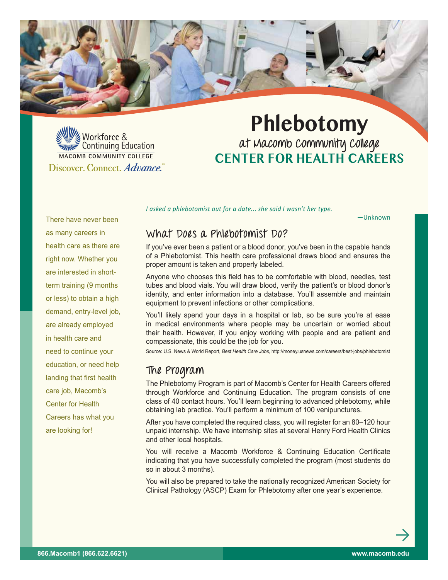

Workforce & Continuing Education MACOMB COMMUNITY COLLEGE Discover. Connect. Advance.

# **Phlebotomy**

**at Macomb Community College Center for Health Careers**

There have never been as many careers in health care as there are right now. Whether you are interested in shortterm training (9 months or less) to obtain a high demand, entry-level job, are already employed in health care and need to continue your education, or need help landing that first health care job, Macomb's Center for Health Careers has what you are looking for!

*I asked a phlebotomist out for a date... she said I wasn't her type.*

—Unknown

## **What Does a Phlebotomist Do?**

If you've ever been a patient or a blood donor, you've been in the capable hands of a Phlebotomist. This health care professional draws blood and ensures the proper amount is taken and properly labeled.

Anyone who chooses this field has to be comfortable with blood, needles, test tubes and blood vials. You will draw blood, verify the patient's or blood donor's identity, and enter information into a database. You'll assemble and maintain equipment to prevent infections or other complications.

You'll likely spend your days in a hospital or lab, so be sure vou're at ease in medical environments where people may be uncertain or worried about their health. However, if you enjoy working with people and are patient and compassionate, this could be the job for you.

Source: U.S. News & World Report, *Best Health Care Jobs,* http://money.usnews.com/careers/best-jobs/phlebotomist

## **The Program**

The Phlebotomy Program is part of Macomb's Center for Health Careers offered through Workforce and Continuing Education. The program consists of one class of 40 contact hours. You'll learn beginning to advanced phlebotomy, while obtaining lab practice. You'll perform a minimum of 100 venipunctures.

After you have completed the required class, you will register for an 80–120 hour unpaid internship. We have internship sites at several Henry Ford Health Clinics and other local hospitals.

You will receive a Macomb Workforce & Continuing Education Certificate indicating that you have successfully completed the program (most students do so in about 3 months).

You will also be prepared to take the nationally recognized American Society for Clinical Pathology (ASCP) Exam for Phlebotomy after one year's experience.